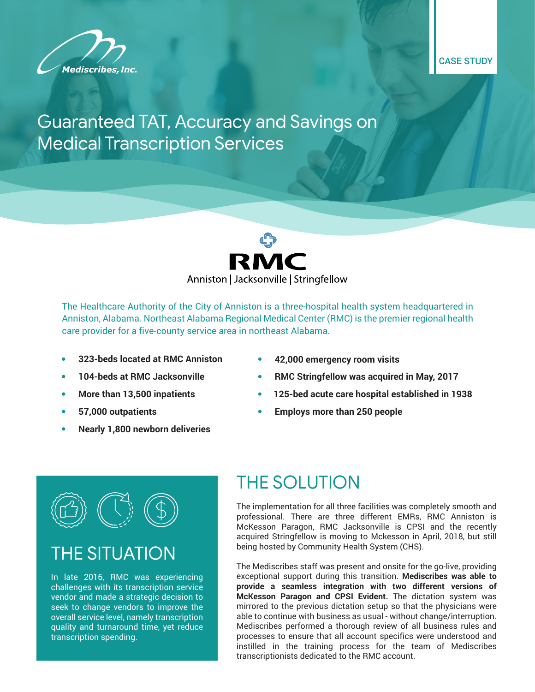

CASE STUDY

#### Guaranteed TAT, Accuracy and Savings on Medical Transcription Services



The Healthcare Authority of the City of Anniston is a three-hospital health system headquartered in Anniston, Alabama. Northeast Alabama Regional Medical Center (RMC) is the premier regional health care provider for a five-county service area in northeast Alabama.

- **• 323-beds located at RMC Anniston**
- **• 104-beds at RMC Jacksonville**
- **• More than 13,500 inpatients**
- **• 57,000 outpatients**
- **• Nearly 1,800 newborn deliveries**
- **• 42,000 emergency room visits**
- **• RMC Stringfellow was acquired in May, 2017**
- **• 125-bed acute care hospital established in 1938**
- **• Employs more than 250 people**

## **THE SITUATION**

In late 2016, RMC was experiencing challenges with its transcription service vendor and made a strategic decision to seek to change vendors to improve the overall service level, namely transcription quality and turnaround time, yet reduce transcription spending.

### THE SOLUTION

The implementation for all three facilities was completely smooth and professional. There are three different EMRs, RMC Anniston is McKesson Paragon, RMC Jacksonville is CPSI and the recently acquired Stringfellow is moving to Mckesson in April, 2018, but still being hosted by Community Health System (CHS).

The Mediscribes staff was present and onsite for the go-live, providing exceptional support during this transition. **Mediscribes was able to provide a seamless integration with two different versions of McKesson Paragon and CPSI Evident.** The dictation system was mirrored to the previous dictation setup so that the physicians were able to continue with business as usual - without change/interruption. Mediscribes performed a thorough review of all business rules and processes to ensure that all account specifics were understood and instilled in the training process for the team of Mediscribes transcriptionists dedicated to the RMC account.